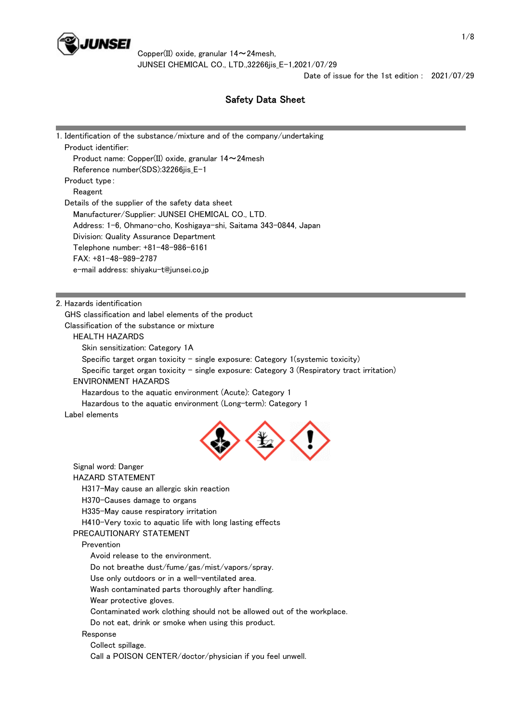

Date of issue for the 1st edition : 2021/07/29

and the state of the state of the state of the state of the state of the

# Safety Data Sheet

| 1. Identification of the substance/mixture and of the company/undertaking                   |
|---------------------------------------------------------------------------------------------|
| Product identifier:                                                                         |
| Product name: Copper(II) oxide, granular 14∼24mesh                                          |
| Reference number(SDS):32266jis_E-1                                                          |
| Product type:                                                                               |
| Reagent<br>Details of the supplier of the safety data sheet                                 |
| Manufacturer/Supplier: JUNSEI CHEMICAL CO., LTD.                                            |
| Address: 1-6, Ohmano-cho, Koshigaya-shi, Saitama 343-0844, Japan                            |
| Division: Quality Assurance Department                                                      |
| Telephone number: +81-48-986-6161                                                           |
| $FAX: +81-48-989-2787$                                                                      |
| e-mail address: shiyaku-t@junsei.co.jp                                                      |
|                                                                                             |
|                                                                                             |
| 2. Hazards identification<br>GHS classification and label elements of the product           |
| Classification of the substance or mixture                                                  |
| <b>HEALTH HAZARDS</b>                                                                       |
| Skin sensitization: Category 1A                                                             |
| Specific target organ toxicity - single exposure: Category 1(systemic toxicity)             |
| Specific target organ toxicity - single exposure: Category 3 (Respiratory tract irritation) |
| <b>ENVIRONMENT HAZARDS</b>                                                                  |
| Hazardous to the aquatic environment (Acute): Category 1                                    |
| Hazardous to the aquatic environment (Long-term): Category 1                                |
| Label elements                                                                              |
|                                                                                             |
| Signal word: Danger                                                                         |
| <b>HAZARD STATEMENT</b>                                                                     |
| H317-May cause an allergic skin reaction                                                    |
| H370-Causes damage to organs                                                                |
| H335-May cause respiratory irritation                                                       |
| H410-Very toxic to aquatic life with long lasting effects                                   |
| PRECAUTIONARY STATEMENT                                                                     |
| Prevention                                                                                  |
| Avoid release to the environment.                                                           |
| Do not breathe dust/fume/gas/mist/vapors/spray.                                             |
| Use only outdoors or in a well-ventilated area.                                             |
| Wash contaminated parts thoroughly after handling.                                          |
| Wear protective gloves.                                                                     |
| Contaminated work clothing should not be allowed out of the workplace.                      |
| Do not eat, drink or smoke when using this product.                                         |
| Response                                                                                    |
| Collect spillage.                                                                           |
| Call a POISON CENTER/doctor/physician if you feel unwell.                                   |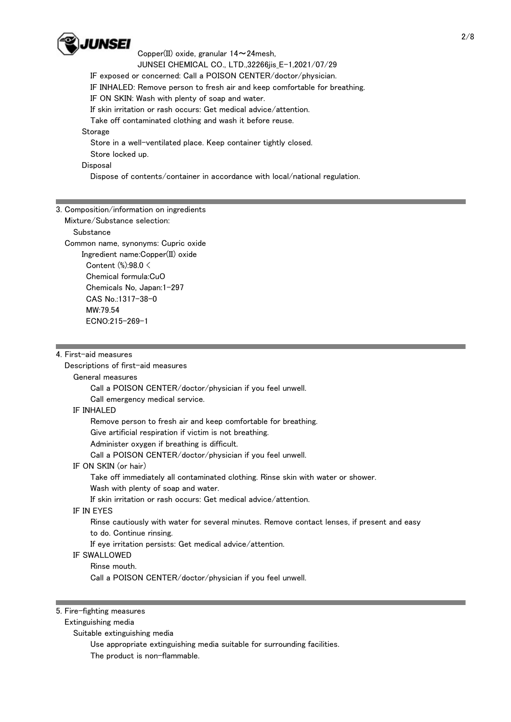

Copper(II) oxide, granular 14~24mesh,

JUNSEI CHEMICAL CO., LTD.,32266jis\_E-1,2021/07/29

IF exposed or concerned: Call a POISON CENTER/doctor/physician.

IF INHALED: Remove person to fresh air and keep comfortable for breathing.

IF ON SKIN: Wash with plenty of soap and water.

If skin irritation or rash occurs: Get medical advice/attention.

Take off contaminated clothing and wash it before reuse.

# **Storage**

Store in a well-ventilated place. Keep container tightly closed.

Store locked up.

# **Disposal**

Dispose of contents/container in accordance with local/national regulation.

# 3. Composition/information on ingredients

Mixture/Substance selection:

Substance

 Common name, synonyms: Cupric oxide Ingredient name:Copper(II) oxide Content (%):98.0 < Chemical formula:CuO Chemicals No, Japan:1-297 CAS No.:1317-38-0 MW:79.54 ECNO:215-269-1

## 4. First-aid measures

Descriptions of first-aid measures

#### General measures

Call a POISON CENTER/doctor/physician if you feel unwell.

Call emergency medical service.

# IF INHALED

Remove person to fresh air and keep comfortable for breathing.

Give artificial respiration if victim is not breathing.

Administer oxygen if breathing is difficult.

Call a POISON CENTER/doctor/physician if you feel unwell.

# IF ON SKIN (or hair)

 Take off immediately all contaminated clothing. Rinse skin with water or shower. Wash with plenty of soap and water.

If skin irritation or rash occurs: Get medical advice/attention.

#### IF IN EYES

 Rinse cautiously with water for several minutes. Remove contact lenses, if present and easy to do. Continue rinsing.

If eye irritation persists: Get medical advice/attention.

# IF SWALLOWED

# Rinse mouth.

Call a POISON CENTER/doctor/physician if you feel unwell.

|  |  |  | 5. Fire-fighting measures |
|--|--|--|---------------------------|
|--|--|--|---------------------------|

Extinguishing media

Suitable extinguishing media

Use appropriate extinguishing media suitable for surrounding facilities.

The product is non-flammable.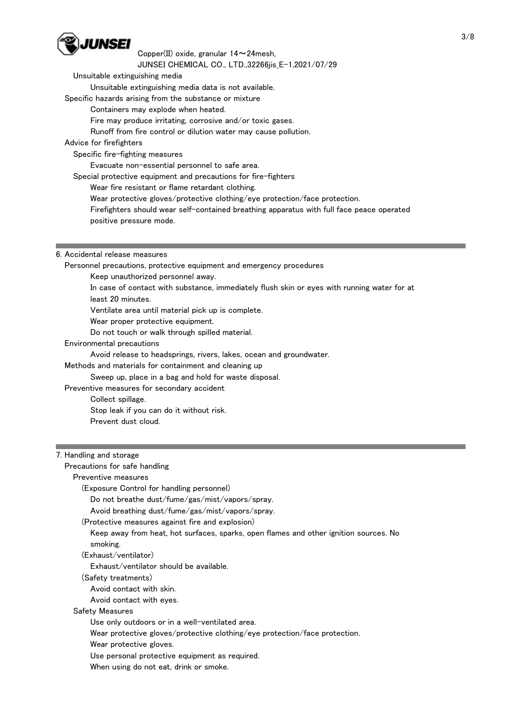

Unsuitable extinguishing media

Unsuitable extinguishing media data is not available.

Specific hazards arising from the substance or mixture

Containers may explode when heated.

Fire may produce irritating, corrosive and/or toxic gases.

Runoff from fire control or dilution water may cause pollution.

# Advice for firefighters

Specific fire-fighting measures

Evacuate non-essential personnel to safe area.

Special protective equipment and precautions for fire-fighters

Wear fire resistant or flame retardant clothing.

Wear protective gloves/protective clothing/eye protection/face protection.

 Firefighters should wear self-contained breathing apparatus with full face peace operated positive pressure mode.

## 6. Accidental release measures

Personnel precautions, protective equipment and emergency procedures

Keep unauthorized personnel away.

 In case of contact with substance, immediately flush skin or eyes with running water for at least 20 minutes.

Ventilate area until material pick up is complete.

Wear proper protective equipment.

Do not touch or walk through spilled material.

Environmental precautions

Avoid release to headsprings, rivers, lakes, ocean and groundwater.

Methods and materials for containment and cleaning up

Sweep up, place in a bag and hold for waste disposal.

Preventive measures for secondary accident

Collect spillage.

Stop leak if you can do it without risk.

Prevent dust cloud.

# 7. Handling and storage

Precautions for safe handling

Preventive measures

(Exposure Control for handling personnel)

Do not breathe dust/fume/gas/mist/vapors/spray.

Avoid breathing dust/fume/gas/mist/vapors/spray.

#### (Protective measures against fire and explosion)

Keep away from heat, hot surfaces, sparks, open flames and other ignition sources. No

smoking.

(Exhaust/ventilator)

Exhaust/ventilator should be available.

(Safety treatments)

Avoid contact with skin.

Avoid contact with eyes.

Safety Measures

Use only outdoors or in a well-ventilated area.

Wear protective gloves/protective clothing/eye protection/face protection.

Wear protective gloves.

Use personal protective equipment as required.

When using do not eat, drink or smoke.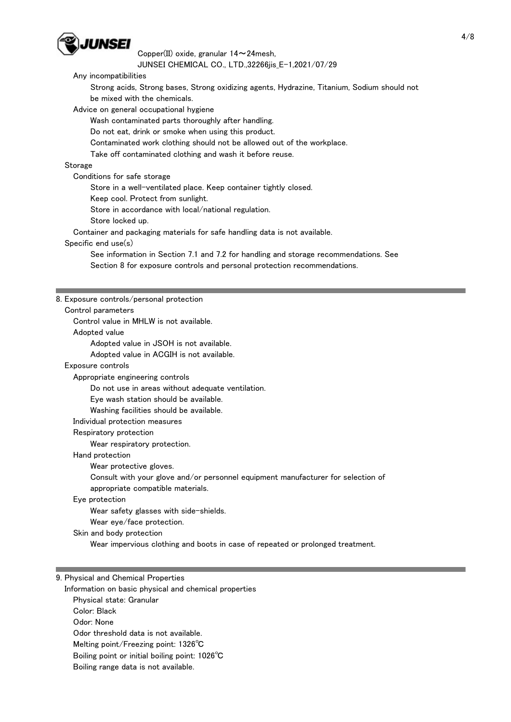

Copper(II) oxide, granular 14~24mesh,

JUNSEI CHEMICAL CO., LTD.,32266jis\_E-1,2021/07/29

Any incompatibilities

 Strong acids, Strong bases, Strong oxidizing agents, Hydrazine, Titanium, Sodium should not be mixed with the chemicals.

Advice on general occupational hygiene

Wash contaminated parts thoroughly after handling.

Do not eat, drink or smoke when using this product.

Contaminated work clothing should not be allowed out of the workplace.

Take off contaminated clothing and wash it before reuse.

# Storage

Conditions for safe storage

Store in a well-ventilated place. Keep container tightly closed.

Keep cool. Protect from sunlight.

Store in accordance with local/national regulation.

Store locked up.

Container and packaging materials for safe handling data is not available.

#### Specific end use(s)

 See information in Section 7.1 and 7.2 for handling and storage recommendations. See Section 8 for exposure controls and personal protection recommendations.

#### 8. Exposure controls/personal protection

#### Control parameters

Control value in MHLW is not available.

#### Adopted value

Adopted value in JSOH is not available.

Adopted value in ACGIH is not available.

#### Exposure controls

Appropriate engineering controls

Do not use in areas without adequate ventilation.

Eye wash station should be available.

Washing facilities should be available.

Individual protection measures

#### Respiratory protection

Wear respiratory protection.

#### Hand protection

Wear protective gloves.

 Consult with your glove and/or personnel equipment manufacturer for selection of appropriate compatible materials.

# Eye protection

Wear safety glasses with side-shields.

Wear eye/face protection.

#### Skin and body protection

Wear impervious clothing and boots in case of repeated or prolonged treatment.

#### 9. Physical and Chemical Properties

Information on basic physical and chemical properties

Physical state: Granular

Color: Black

Odor: None

Odor threshold data is not available.

Melting point/Freezing point: 1326℃

Boiling point or initial boiling point: 1026℃

Boiling range data is not available.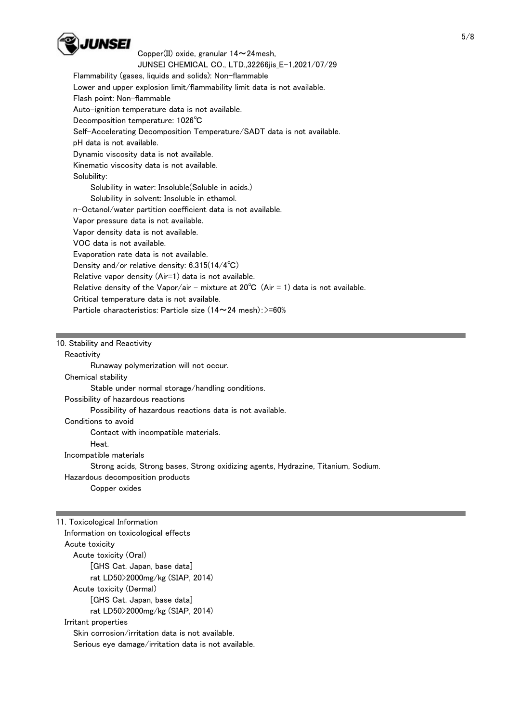

 Flammability (gases, liquids and solids): Non-flammable Lower and upper explosion limit/flammability limit data is not available. Flash point: Non-flammable Auto-ignition temperature data is not available. Decomposition temperature: 1026℃ Self-Accelerating Decomposition Temperature/SADT data is not available. pH data is not available. Dynamic viscosity data is not available. Kinematic viscosity data is not available. Solubility: Solubility in water: Insoluble(Soluble in acids.) Solubility in solvent: Insoluble in ethamol. n-Octanol/water partition coefficient data is not available. Vapor pressure data is not available. Vapor density data is not available. VOC data is not available. Evaporation rate data is not available. Density and/or relative density: 6.315(14/4℃) Relative vapor density (Air=1) data is not available. Relative density of the Vapor/air - mixture at  $20^{\circ}C$  (Air = 1) data is not available. Critical temperature data is not available. Particle characteristics: Particle size (14~24 mesh): >=60%

## 10. Stability and Reactivity

### Reactivity

Runaway polymerization will not occur.

#### Chemical stability

Stable under normal storage/handling conditions.

Possibility of hazardous reactions

Possibility of hazardous reactions data is not available.

Conditions to avoid

Contact with incompatible materials.

Heat.

Incompatible materials

Strong acids, Strong bases, Strong oxidizing agents, Hydrazine, Titanium, Sodium.

Hazardous decomposition products

Copper oxides

# 11. Toxicological Information

 Information on toxicological effects Acute toxicity Acute toxicity (Oral) [GHS Cat. Japan, base data] rat LD50>2000mg/kg (SIAP, 2014) Acute toxicity (Dermal) [GHS Cat. Japan, base data] rat LD50>2000mg/kg (SIAP, 2014) Irritant properties Skin corrosion/irritation data is not available. Serious eye damage/irritation data is not available.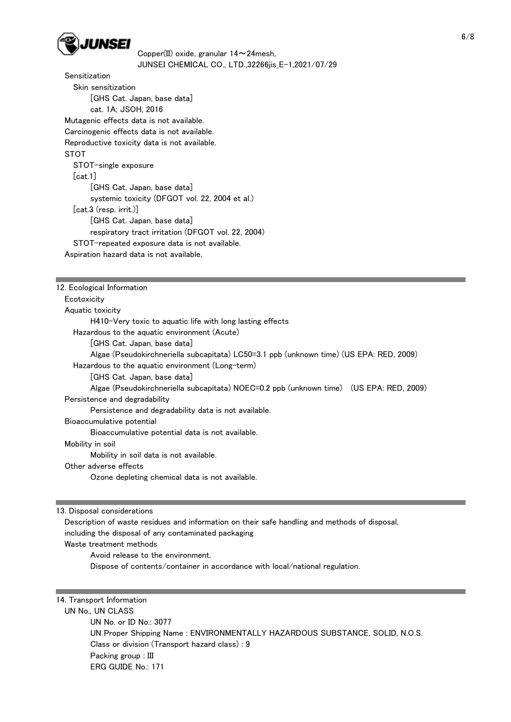

Sensitization

 Skin sensitization [GHS Cat. Japan, base data] cat. 1A; JSOH, 2016 Mutagenic effects data is not available. Carcinogenic effects data is not available. Reproductive toxicity data is not available. STOT STOT-single exposure  $[cat.1]$  [GHS Cat. Japan, base data] systemic toxicity (DFGOT vol. 22, 2004 et al.) [cat.3 (resp. irrit.)] [GHS Cat. Japan, base data] respiratory tract irritation (DFGOT vol. 22, 2004) STOT-repeated exposure data is not available. Aspiration hazard data is not available.

# 12. Ecological Information

**Ecotoxicity** 

Aquatic toxicity

H410-Very toxic to aquatic life with long lasting effects

Hazardous to the aquatic environment (Acute)

[GHS Cat. Japan, base data]

Algae (Pseudokirchneriella subcapitata) LC50=3.1 ppb (unknown time) (US EPA: RED, 2009)

Hazardous to the aquatic environment (Long-term)

[GHS Cat. Japan, base data]

Algae (Pseudokirchneriella subcapitata) NOEC=0.2 ppb (unknown time) (US EPA: RED, 2009)

Persistence and degradability

Persistence and degradability data is not available.

Bioaccumulative potential

Bioaccumulative potential data is not available.

Mobility in soil

Mobility in soil data is not available.

Other adverse effects

Ozone depleting chemical data is not available.

13. Disposal considerations

Description of waste residues and information on their safe handling and methods of disposal,

including the disposal of any contaminated packaging

Waste treatment methods

Avoid release to the environment.

Dispose of contents/container in accordance with local/national regulation.

#### 14. Transport Information

 UN No., UN CLASS UN No. or ID No.: 3077 UN Proper Shipping Name : ENVIRONMENTALLY HAZARDOUS SUBSTANCE, SOLID, N.O.S. Class or division (Transport hazard class) : 9 Packing group : III ERG GUIDE No.: 171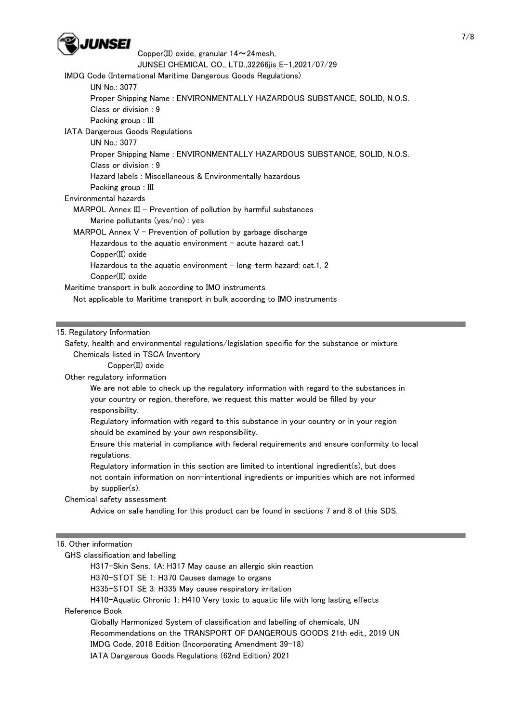

 Copper(II) oxide, granular 14~24mesh, JUNSEI CHEMICAL CO., LTD.,32266jis\_E-1,2021/07/29 IMDG Code (International Maritime Dangerous Goods Regulations) UN No.: 3077 Proper Shipping Name : ENVIRONMENTALLY HAZARDOUS SUBSTANCE, SOLID, N.O.S. Class or division : 9 Packing group : III IATA Dangerous Goods Regulations UN No.: 3077 Proper Shipping Name : ENVIRONMENTALLY HAZARDOUS SUBSTANCE, SOLID, N.O.S. Class or division : 9 Hazard labels : Miscellaneous & Environmentally hazardous Packing group : III Environmental hazards MARPOL Annex III - Prevention of pollution by harmful substances Marine pollutants (yes/no) : yes MARPOL Annex V - Prevention of pollution by garbage discharge Hazardous to the aquatic environment  $-$  acute hazard: cat.1 Copper(II) oxide Hazardous to the aquatic environment  $-$  long-term hazard: cat.1, 2 Copper(II) oxide Maritime transport in bulk according to IMO instruments Not applicable to Maritime transport in bulk according to IMO instruments

#### 15. Regulatory Information

 Safety, health and environmental regulations/legislation specific for the substance or mixture Chemicals listed in TSCA Inventory

Copper(II) oxide

Other regulatory information

 We are not able to check up the regulatory information with regard to the substances in your country or region, therefore, we request this matter would be filled by your responsibility.

 Regulatory information with regard to this substance in your country or in your region should be examined by your own responsibility.

 Ensure this material in compliance with federal requirements and ensure conformity to local regulations.

 Regulatory information in this section are limited to intentional ingredient(s), but does not contain information on non-intentional ingredients or impurities which are not informed by supplier(s).

Chemical safety assessment

Advice on safe handling for this product can be found in sections 7 and 8 of this SDS.

# 16. Other information

| GHS classification and labelling                                                  |  |  |  |
|-----------------------------------------------------------------------------------|--|--|--|
| H317-Skin Sens. 1A: H317 May cause an allergic skin reaction                      |  |  |  |
| H370-STOT SE 1: H370 Causes damage to organs                                      |  |  |  |
| H335-STOT SE 3: H335 May cause respiratory irritation                             |  |  |  |
| H410-Aquatic Chronic 1: H410 Very toxic to aquatic life with long lasting effects |  |  |  |
| Reference Book                                                                    |  |  |  |
| Globally Harmonized System of classification and labelling of chemicals, UN       |  |  |  |
| Recommendations on the TRANSPORT OF DANGEROUS GOODS 21th edit., 2019 UN           |  |  |  |
| IMDG Code, 2018 Edition (Incorporating Amendment 39-18)                           |  |  |  |
| IATA Dangerous Goods Regulations (62nd Edition) 2021                              |  |  |  |
|                                                                                   |  |  |  |